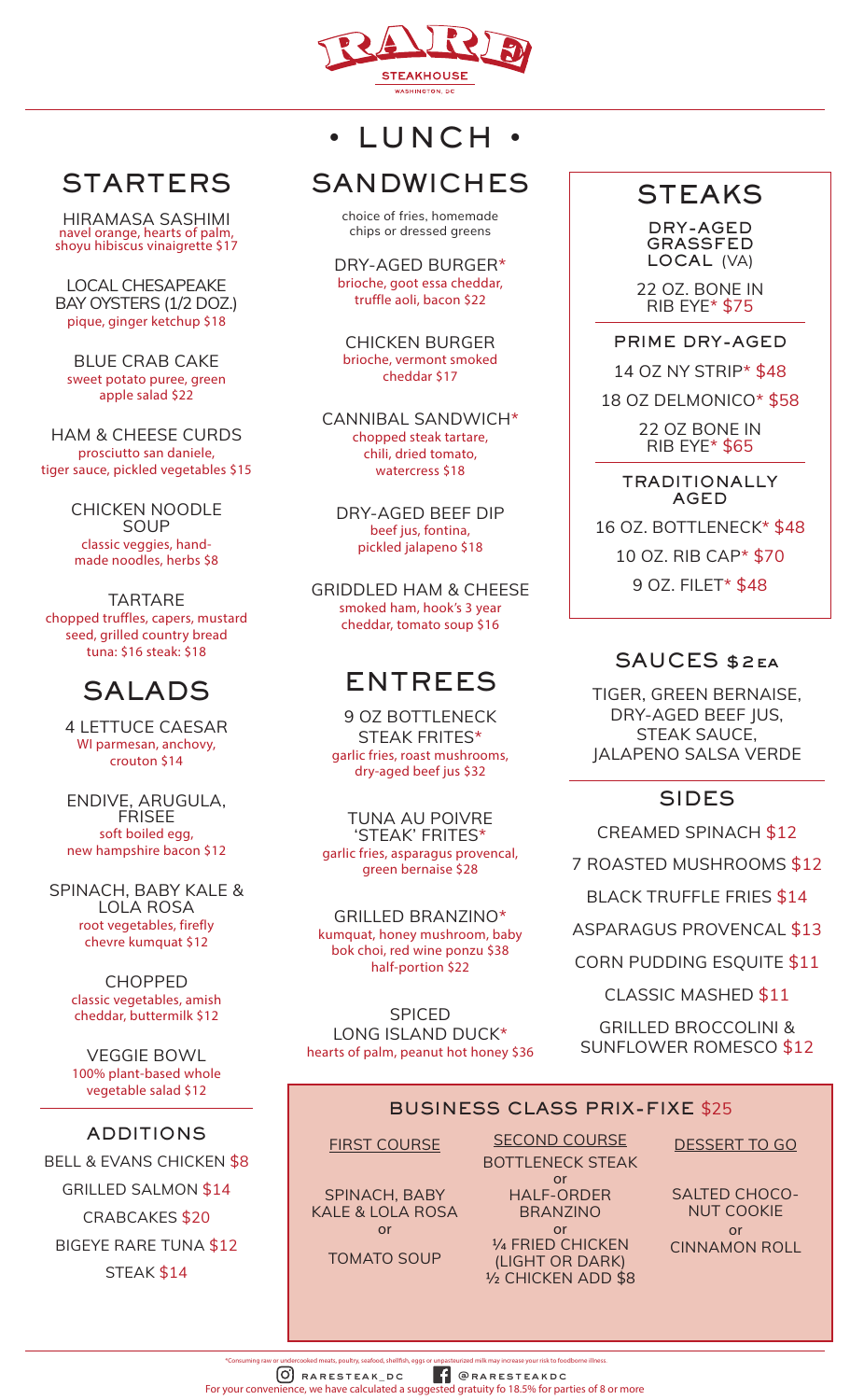

# **STARTERS**

HIRAMASA SASHIMI navel orange, hearts of palm, shoyu hibiscus vinaigrette \$17

LOCAL CHESAPEAKE BAY OYSTERS (1/2 DOZ.) pique, ginger ketchup \$18

BLUE CRAB CAKE sweet potato puree, green apple salad \$22

HAM & CHEESE CURDS prosciutto san daniele, tiger sauce, pickled vegetables \$15

> CHICKEN NOODLE SOUP classic veggies, handmade noodles, herbs \$8

TARTARE chopped truffles, capers, mustard seed, grilled country bread tuna: \$16 steak: \$18

## SALADS

4 LETTUCE CAESAR WI parmesan, anchovy, crouton \$14

ENDIVE, ARUGULA, **FRISEE** soft boiled egg, new hampshire bacon \$12

SPINACH, BABY KALE & LOLA ROSA root vegetables, firefly chevre kumquat \$12

> CHOPPED classic vegetables, amish cheddar, buttermilk \$12

> VEGGIE BOWL 100% plant-based whole vegetable salad \$12

#### ADDITIONS

BELL & EVANS CHICKEN \$8 GRILLED SALMON \$14 CRABCAKES \$20 BIGEYE RARE TUNA \$12

STEAK \$14

## • LUNCH •

# **SANDWICHES**

choice of fries, homemade chips or dressed greens

DRY-AGED BURGER\* brioche, goot essa cheddar, truffle aoli, bacon \$22

CHICKEN BURGER brioche, vermont smoked cheddar \$17

CANNIBAL SANDWICH\* chopped steak tartare, chili, dried tomato, watercress \$18

DRY-AGED BEEF DIP beef jus, fontina, pickled jalapeno \$18

GRIDDLED HAM & CHEESE smoked ham, hook's 3 year cheddar, tomato soup \$16

## ENTREES

9 OZ BOTTLENECK STEAK FRITES\* garlic fries, roast mushrooms, dry-aged beef jus \$32

TUNA AU POIVRE 'STEAK' FRITES\* garlic fries, asparagus provencal, green bernaise \$28

GRILLED BRANZINO\* kumquat, honey mushroom, baby bok choi, red wine ponzu \$38 half-portion \$22

SPICED LONG ISLAND DUCK\* hearts of palm, peanut hot honey \$36

## **STEAKS**

DRY-AGED GRASSFED LOCAL (VA)

22 OZ. BONE IN RIB EYE\* \$75

PRIME DRY-AGED 14 OZ NY STRIP\* \$48

18 OZ DELMONICO\* \$58

22 OZ BONE IN RIB EYE\* \$65

TRADITIONALLY AGED

16 OZ. BOTTLENECK\* \$48 10 OZ. RIB CAP\* \$70

9 OZ. FILET\* \$48

#### SAUCES \$2ea

TIGER, GREEN BERNAISE, DRY-AGED BEEF JUS, STEAK SAUCE, JALAPENO SALSA VERDE

### SIDES

CREAMED SPINACH \$12

7 ROASTED MUSHROOMS \$12

BLACK TRUFFLE FRIES \$14

ASPARAGUS PROVENCAL \$13

CORN PUDDING ESQUITE \$11

CLASSIC MASHED \$11

GRILLED BROCCOLINI & SUNFLOWER ROMESCO \$12

### BUSINESS CLASS PRIX-FIXE \$25

FIRST COURSE

SPINACH, BABY KALE & LOLA ROSA or

TOMATO SOUP

SECOND COURSE BOTTLENECK STEAK or

HALF-ORDER BRANZINO or

1/4 FRIED CHICKEN (LIGHT OR DARK) 1/2 CHICKEN ADD \$8 DESSERT TO GO

SALTED CHOCO-NUT COOKIE or CINNAMON ROLL

raresteak\_dc @raresteakdc .<br>Cooked meats, poultry, seafood, shellfish, eggs or unpasteurized milk may increase your risk to foodborne illness For your convenience, we have calculated a suggested gratuity fo 18.5% for parties of 8 or more